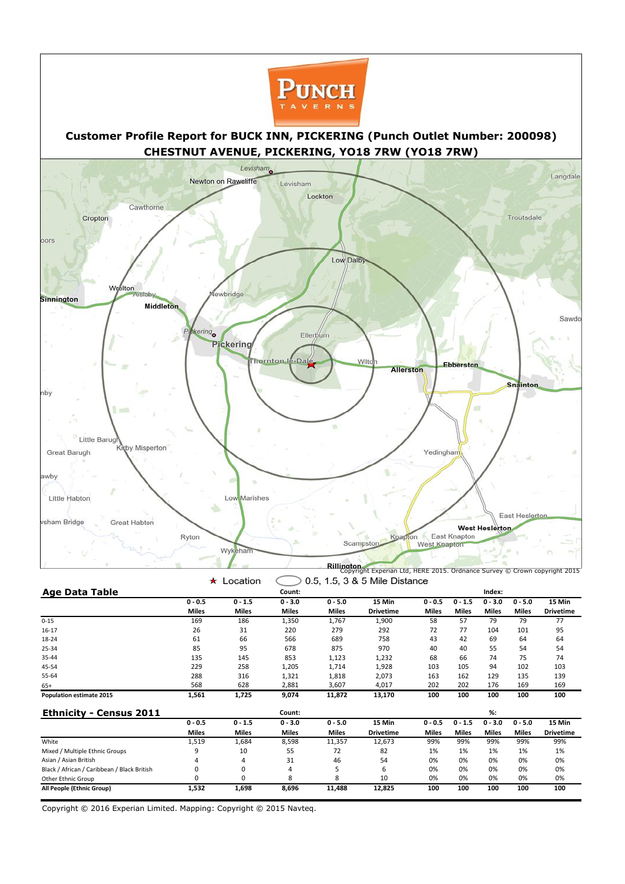

|                                             | ★            | Location     |              |              | 0.5, 1.5, 3 & 5 Mile Distance |              |              |              |              |                  |
|---------------------------------------------|--------------|--------------|--------------|--------------|-------------------------------|--------------|--------------|--------------|--------------|------------------|
| <b>Age Data Table</b>                       |              |              | Count:       |              |                               |              |              | Index:       |              |                  |
|                                             | $0 - 0.5$    | $0 - 1.5$    | $0 - 3.0$    | $0 - 5.0$    | 15 Min                        | $0 - 0.5$    | $0 - 1.5$    | $0 - 3.0$    | $0 - 5.0$    | 15 Min           |
|                                             | <b>Miles</b> | <b>Miles</b> | <b>Miles</b> | <b>Miles</b> | <b>Drivetime</b>              | <b>Miles</b> | <b>Miles</b> | <b>Miles</b> | <b>Miles</b> | <b>Drivetime</b> |
| $0 - 15$                                    | 169          | 186          | 1,350        | 1,767        | 1,900                         | 58           | 57           | 79           | 79           | 77               |
| 16-17                                       | 26           | 31           | 220          | 279          | 292                           | 72           | 77           | 104          | 101          | 95               |
| 18-24                                       | 61           | 66           | 566          | 689          | 758                           | 43           | 42           | 69           | 64           | 64               |
| 25-34                                       | 85           | 95           | 678          | 875          | 970                           | 40           | 40           | 55           | 54           | 54               |
| 35-44                                       | 135          | 145          | 853          | 1,123        | 1,232                         | 68           | 66           | 74           | 75           | 74               |
| 45-54                                       | 229          | 258          | 1,205        | 1,714        | 1,928                         | 103          | 105          | 94           | 102          | 103              |
| 55-64                                       | 288          | 316          | 1,321        | 1,818        | 2,073                         | 163          | 162          | 129          | 135          | 139              |
| $65+$                                       | 568          | 628          | 2,881        | 3,607        | 4,017                         | 202          | 202          | 176          | 169          | 169              |
| <b>Population estimate 2015</b>             | 1,561        | 1,725        | 9,074        | 11,872       | 13,170                        | 100          | 100          | 100          | 100          | 100              |
| <b>Ethnicity - Census 2011</b>              |              |              | Count:       |              |                               |              |              | $%$ :        |              |                  |
|                                             | $0 - 0.5$    | $0 - 1.5$    | $0 - 3.0$    | $0 - 5.0$    | 15 Min                        | $0 - 0.5$    | $0 - 1.5$    | $0 - 3.0$    | $0 - 5.0$    | 15 Min           |
|                                             | <b>Miles</b> | <b>Miles</b> | <b>Miles</b> | <b>Miles</b> | <b>Drivetime</b>              | <b>Miles</b> | <b>Miles</b> | <b>Miles</b> | <b>Miles</b> | <b>Drivetime</b> |
| White                                       | 1,519        | 1,684        | 8,598        | 11,357       | 12,673                        | 99%          | 99%          | 99%          | 99%          | 99%              |
| Mixed / Multiple Ethnic Groups              | 9            | 10           | 55           | 72           | 82                            | 1%           | 1%           | 1%           | 1%           | 1%               |
| Asian / Asian British                       | 4            | 4            | 31           | 46           | 54                            | 0%           | 0%           | 0%           | 0%           | 0%               |
| Black / African / Caribbean / Black British | N            | 0            | 4            |              | 6                             | 0%           | 0%           | 0%           | 0%           | 0%               |
| Other Ethnic Group                          | 0            | 0            | 8            | 8            | 10                            | 0%           | 0%           | 0%           | 0%           | 0%               |
| All People (Ethnic Group)                   | 1,532        | 1,698        | 8,696        | 11,488       | 12,825                        | 100          | 100          | 100          | 100          | 100              |



## **Customer Profile Report for BUCK INN, PICKERING (Punch Outlet Number: 200098) CHESTNUT AVENUE, PICKERING, YO18 7RW (YO18 7RW)**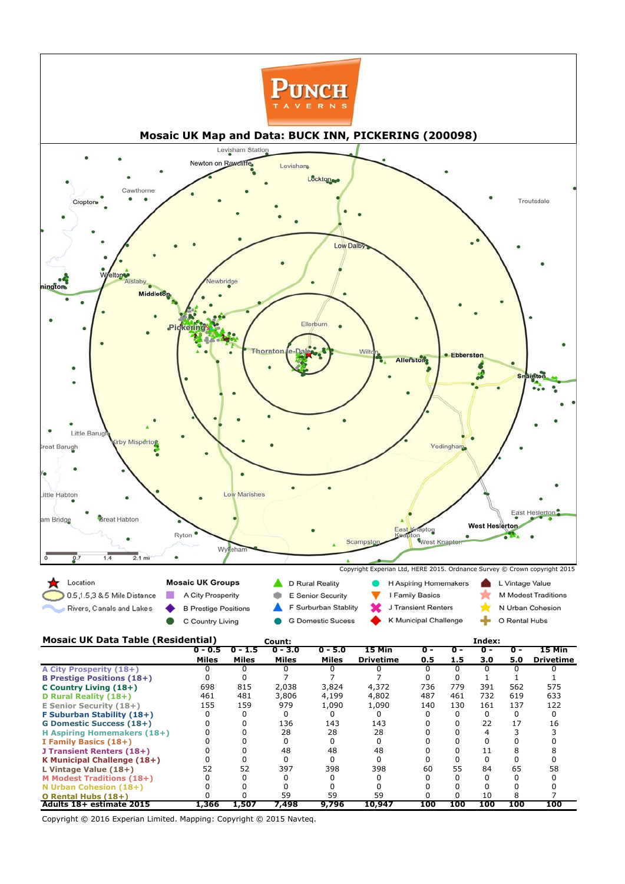| A City Prosperity (18+)           |       |       |       |       |        |            |     |     |     |     |
|-----------------------------------|-------|-------|-------|-------|--------|------------|-----|-----|-----|-----|
| <b>B Prestige Positions (18+)</b> |       |       |       |       |        |            |     |     |     |     |
| C Country Living (18+)            | 698   | 815   | 2,038 | 3,824 | 4,372  | 736        | 779 | 391 | 562 | 575 |
| D Rural Reality (18+)             | 461   | 481   | 3,806 | 4,199 | 4,802  | 487        | 461 | 732 | 619 | 633 |
| <b>E Senior Security (18+)</b>    | 155   | 159   | 979   | 1,090 | 1,090  | 140        | 130 | 161 | 137 | 122 |
| F Suburban Stability (18+)        |       |       |       |       |        |            |     |     |     |     |
| <b>G Domestic Success (18+)</b>   |       |       | 136   | 143   | 143    |            |     | 22  | 17  | 16  |
| H Aspiring Homemakers (18+)       |       |       | 28    | 28    | 28     |            |     |     |     |     |
| I Family Basics (18+)             |       |       |       |       |        |            |     |     |     |     |
| J Transient Renters (18+)         |       |       | 48    | 48    | 48     |            |     | 11  |     |     |
| K Municipal Challenge (18+)       |       |       |       |       |        |            |     |     |     |     |
| L Vintage Value (18+)             | 52    | 52    | 397   | 398   | 398    | 60         | 55  | 84  | 65  | 58  |
| <b>M Modest Traditions (18+)</b>  |       |       |       |       |        |            |     |     |     |     |
| N Urban Cohesion (18+)            |       |       |       |       |        |            |     |     |     |     |
| O Rental Hubs (18+)               |       |       | 59    | 59    | 59     |            |     | 10  |     |     |
| Adults 18+ estimate 2015          | 1,366 | 1,507 | 7,498 | 9,796 | 10,947 | <b>100</b> | 100 | 100 | 100 | 100 |

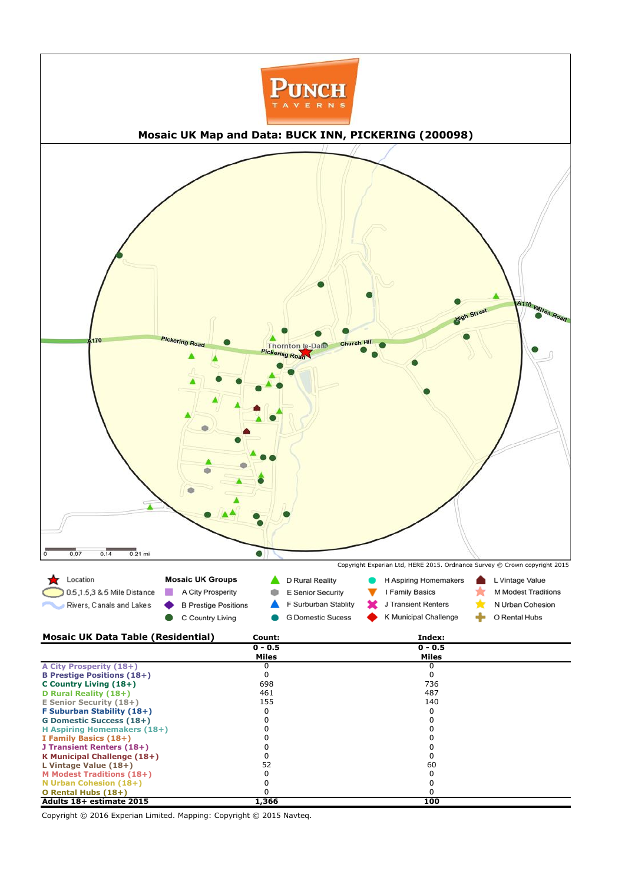| Adults 18+ estimate 2015           | L,366 | 100  |  |
|------------------------------------|-------|------|--|
| O Rental Hubs (18+)                |       |      |  |
| N Urban Cohesion (18+)             |       |      |  |
| <b>M Modest Traditions (18+)</b>   |       |      |  |
| L Vintage Value (18+)              |       | 60   |  |
| <b>K Municipal Challenge (18+)</b> |       |      |  |
| J Transient Renters (18+)          |       |      |  |
| I Family Basics (18+)              |       |      |  |
| H Aspiring Homemakers (18+)        |       |      |  |
| <b>G Domestic Success (18+)</b>    |       |      |  |
| F Suburban Stability (18+)         |       |      |  |
| <b>E Senior Security (18+)</b>     | 155   | 140  |  |
| D Rural Reality (18+)              | 461   | 487  |  |
| C Country Living (18+)             | 698   | 736. |  |
| <b>B Prestige Positions (18+)</b>  |       |      |  |
|                                    |       |      |  |

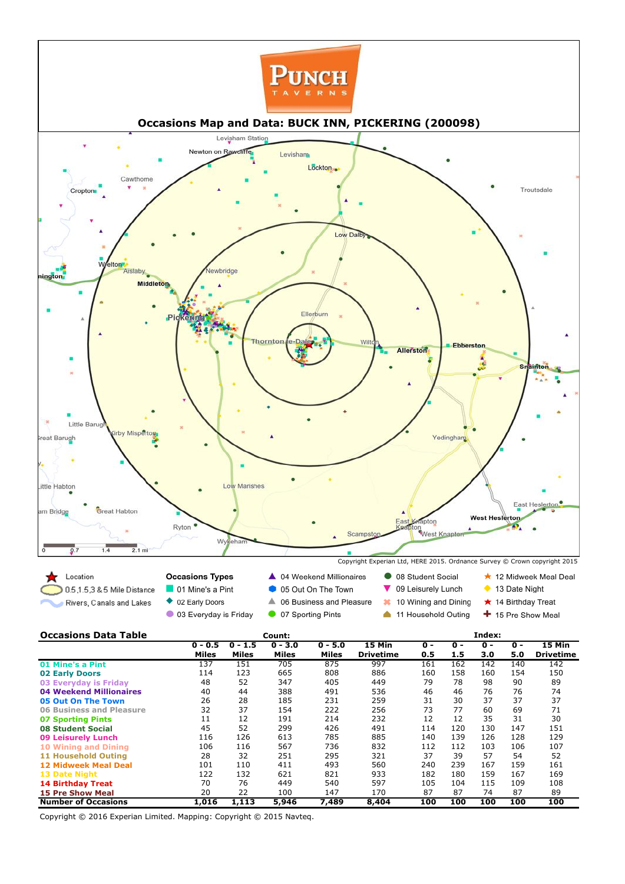| <b>02 Early Doors</b>           | 114   | 123   | 665   | 808   | 886   | 160        | 158 | 160        | 154        | 150        |
|---------------------------------|-------|-------|-------|-------|-------|------------|-----|------------|------------|------------|
| 03 Everyday is Friday           | 48    | 52    | 347   | 405   | 449   | 79         | 78  | 98         | 90         | 89         |
| 04 Weekend Millionaires         | 40    | 44    | 388   | 491   | 536   | 46         | 46  | 76         | 76         | 74         |
| <b>05 Out On The Town</b>       | 26    | 28    | 185   | 231   | 259   | 31         | 30  | 37         | 37         | 37         |
| <b>06 Business and Pleasure</b> | 32    | 37    | 154   | 222   | 256   | 73         | 77  | 60         | 69         | 71         |
| <b>07 Sporting Pints</b>        | 11    | 12    | 191   | 214   | 232   | 12         | 12  | 35         | 31         | 30         |
| <b>08 Student Social</b>        | 45    | 52    | 299   | 426   | 491   | 114        | 120 | 130        | 147        | 151        |
| <b>09 Leisurely Lunch</b>       | 116   | 126   | 613   | 785   | 885   | 140        | 139 | 126        | 128        | 129        |
| <b>10 Wining and Dining</b>     | 106   | 116   | 567   | 736   | 832   | 112        | 112 | 103        | 106        | 107        |
| <b>11 Household Outing</b>      | 28    | 32    | 251   | 295   | 321   | 37         | 39  | 57         | 54         | 52         |
| <b>12 Midweek Meal Deal</b>     | 101   | 110   | 411   | 493   | 560   | 240        | 239 | 167        | 159        | 161        |
| <b>13 Date Night</b>            | 122   | 132   | 621   | 821   | 933   | 182        | 180 | 159        | 167        | 169        |
| <b>14 Birthday Treat</b>        | 70    | 76    | 449   | 540   | 597   | 105        | 104 | 115        | 109        | 108        |
| <b>15 Pre Show Meal</b>         | 20    | 22    | 100   | 147   | 170   | 87         | 87  | 74         | 87         | 89         |
| <b>Number of Occasions</b>      | 1,016 | 1,113 | 5,946 | 7,489 | 8,404 | <b>100</b> | 100 | <b>100</b> | <b>100</b> | <b>100</b> |

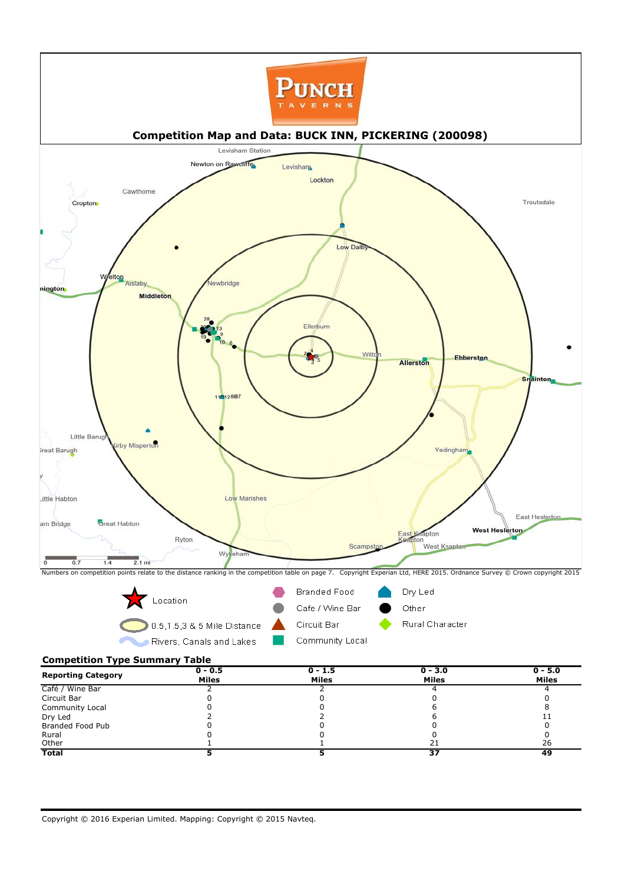**Competition Type Summary Table**



|                           | $0 - 0.5$    | $0 - 1.5$    | $0 - 3.0$    | $0 - 5.0$    |
|---------------------------|--------------|--------------|--------------|--------------|
| <b>Reporting Category</b> | <b>Miles</b> | <b>Miles</b> | <b>Miles</b> | <b>Miles</b> |
| Café / Wine Bar           |              |              |              |              |
| Circuit Bar               |              |              |              |              |
| <b>Community Local</b>    |              |              |              |              |
| Dry Led                   |              |              |              |              |
| <b>Branded Food Pub</b>   |              |              |              |              |
| Rural                     |              |              |              |              |
| Other                     |              |              | 21           | 26           |
| <b>Total</b>              |              |              | 37           | 49           |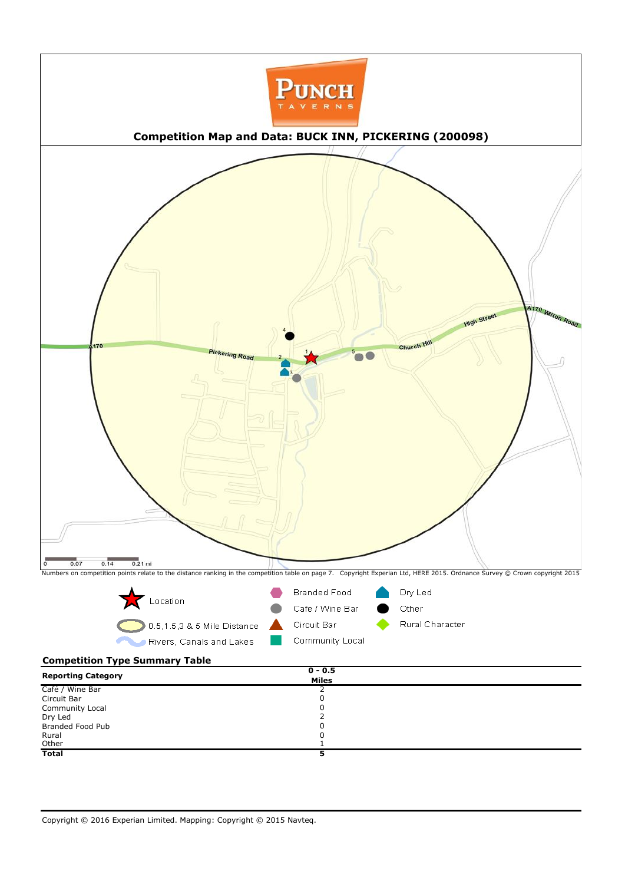## **Competition Type Summary Table**



| <b>Reporting Category</b> | $0 - 0.5$    |  |
|---------------------------|--------------|--|
|                           | <b>Miles</b> |  |
| Café / Wine Bar           |              |  |
| Circuit Bar               | U            |  |
| <b>Community Local</b>    | U            |  |
| Dry Led                   |              |  |
| Branded Food Pub          | U            |  |
| Rural                     | u            |  |
| Other                     |              |  |
| <b>Total</b>              | 5            |  |